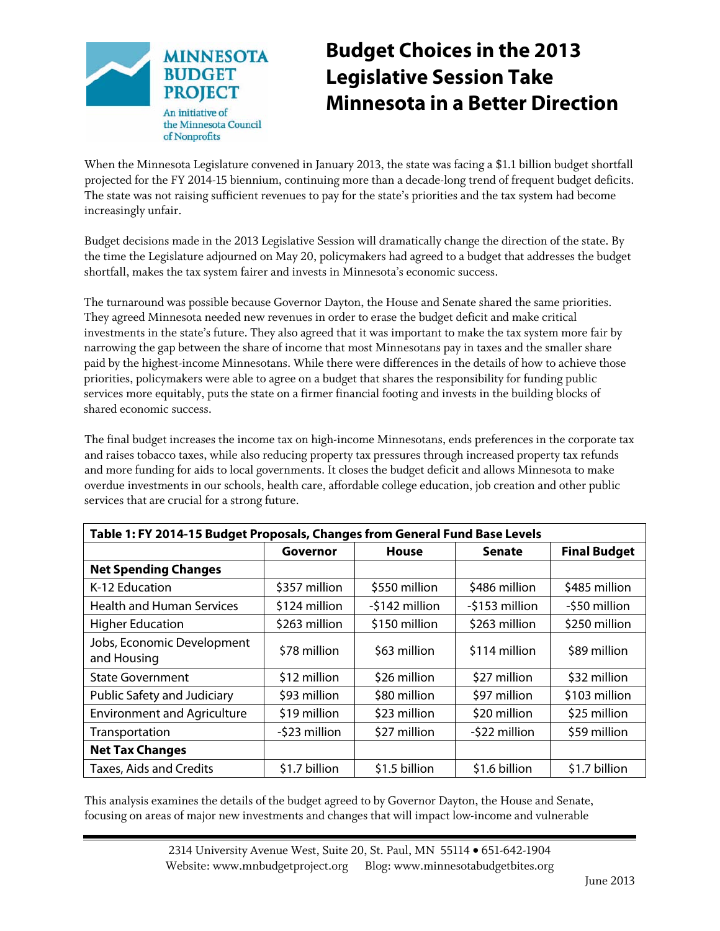

# **Budget Choices in the 2013 Legislative Session Take Minnesota in a Better Direction**

When the Minnesota Legislature convened in January 2013, the state was facing a \$1.1 billion budget shortfall projected for the FY 2014-15 biennium, continuing more than a decade-long trend of frequent budget deficits. The state was not raising sufficient revenues to pay for the state's priorities and the tax system had become increasingly unfair.

Budget decisions made in the 2013 Legislative Session will dramatically change the direction of the state. By the time the Legislature adjourned on May 20, policymakers had agreed to a budget that addresses the budget shortfall, makes the tax system fairer and invests in Minnesota's economic success.

The turnaround was possible because Governor Dayton, the House and Senate shared the same priorities. They agreed Minnesota needed new revenues in order to erase the budget deficit and make critical investments in the state's future. They also agreed that it was important to make the tax system more fair by narrowing the gap between the share of income that most Minnesotans pay in taxes and the smaller share paid by the highest-income Minnesotans. While there were differences in the details of how to achieve those priorities, policymakers were able to agree on a budget that shares the responsibility for funding public services more equitably, puts the state on a firmer financial footing and invests in the building blocks of shared economic success.

The final budget increases the income tax on high-income Minnesotans, ends preferences in the corporate tax and raises tobacco taxes, while also reducing property tax pressures through increased property tax refunds and more funding for aids to local governments. It closes the budget deficit and allows Minnesota to make overdue investments in our schools, health care, affordable college education, job creation and other public services that are crucial for a strong future.

| Table 1: FY 2014-15 Budget Proposals, Changes from General Fund Base Levels |               |                |                |                     |  |
|-----------------------------------------------------------------------------|---------------|----------------|----------------|---------------------|--|
|                                                                             | Governor      | House          | <b>Senate</b>  | <b>Final Budget</b> |  |
| <b>Net Spending Changes</b>                                                 |               |                |                |                     |  |
| K-12 Education                                                              | \$357 million | \$550 million  | \$486 million  | \$485 million       |  |
| <b>Health and Human Services</b>                                            | \$124 million | -\$142 million | -\$153 million | -\$50 million       |  |
| <b>Higher Education</b>                                                     | \$263 million | \$150 million  | \$263 million  | \$250 million       |  |
| Jobs, Economic Development<br>and Housing                                   | \$78 million  | \$63 million   | \$114 million  | \$89 million        |  |
| <b>State Government</b>                                                     | \$12 million  | \$26 million   | \$27 million   | \$32 million        |  |
| Public Safety and Judiciary                                                 | \$93 million  | \$80 million   | \$97 million   | \$103 million       |  |
| <b>Environment and Agriculture</b>                                          | \$19 million  | \$23 million   | \$20 million   | \$25 million        |  |
| Transportation                                                              | -\$23 million | \$27 million   | -\$22 million  | \$59 million        |  |
| <b>Net Tax Changes</b>                                                      |               |                |                |                     |  |
| <b>Taxes, Aids and Credits</b>                                              | \$1.7 billion | \$1.5 billion  | \$1.6 billion  | \$1.7 billion       |  |

This analysis examines the details of the budget agreed to by Governor Dayton, the House and Senate, focusing on areas of major new investments and changes that will impact low-income and vulnerable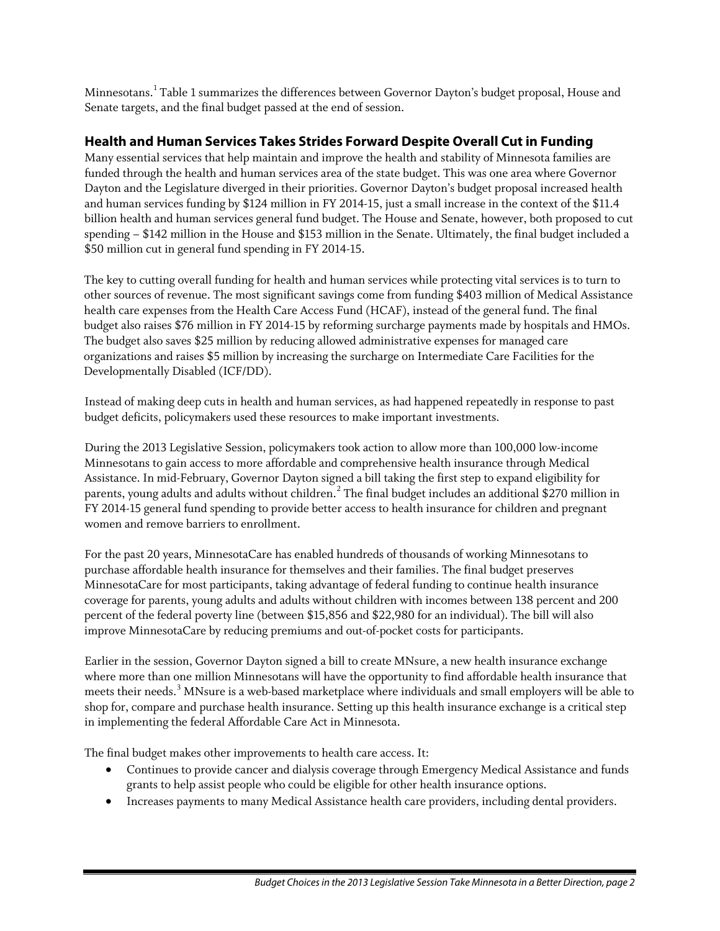Minnesotans.[1](#page-8-0) Table 1 summarizes the differences between Governor Dayton's budget proposal, House and Senate targets, and the final budget passed at the end of session.

### **Health and Human Services Takes Strides Forward Despite Overall Cut in Funding**

Many essential services that help maintain and improve the health and stability of Minnesota families are funded through the health and human services area of the state budget. This was one area where Governor Dayton and the Legislature diverged in their priorities. Governor Dayton's budget proposal increased health and human services funding by \$124 million in FY 2014-15, just a small increase in the context of the \$11.4 billion health and human services general fund budget. The House and Senate, however, both proposed to cut spending – \$142 million in the House and \$153 million in the Senate. Ultimately, the final budget included a \$50 million cut in general fund spending in FY 2014-15.

The key to cutting overall funding for health and human services while protecting vital services is to turn to other sources of revenue. The most significant savings come from funding \$403 million of Medical Assistance health care expenses from the Health Care Access Fund (HCAF), instead of the general fund. The final budget also raises \$76 million in FY 2014-15 by reforming surcharge payments made by hospitals and HMOs. The budget also saves \$25 million by reducing allowed administrative expenses for managed care organizations and raises \$5 million by increasing the surcharge on Intermediate Care Facilities for the Developmentally Disabled (ICF/DD).

Instead of making deep cuts in health and human services, as had happened repeatedly in response to past budget deficits, policymakers used these resources to make important investments.

During the 2013 Legislative Session, policymakers took action to allow more than 100,000 low-income Minnesotans to gain access to more affordable and comprehensive health insurance through Medical Assistance. In mid-February, Governor Dayton signed a bill taking the first step to expand eligibility for parents, young adults and adults without children.<sup>[2](#page-8-1)</sup> The final budget includes an additional \$270 million in FY 2014-15 general fund spending to provide better access to health insurance for children and pregnant women and remove barriers to enrollment.

For the past 20 years, MinnesotaCare has enabled hundreds of thousands of working Minnesotans to purchase affordable health insurance for themselves and their families. The final budget preserves MinnesotaCare for most participants, taking advantage of federal funding to continue health insurance coverage for parents, young adults and adults without children with incomes between 138 percent and 200 percent of the federal poverty line (between \$15,856 and \$22,980 for an individual). The bill will also improve MinnesotaCare by reducing premiums and out-of-pocket costs for participants.

Earlier in the session, Governor Dayton signed a bill to create MNsure, a new health insurance exchange where more than one million Minnesotans will have the opportunity to find affordable health insurance that meets their needs.<sup>[3](#page-8-2)</sup> MNsure is a web-based marketplace where individuals and small employers will be able to shop for, compare and purchase health insurance. Setting up this health insurance exchange is a critical step in implementing the federal Affordable Care Act in Minnesota.

The final budget makes other improvements to health care access. It:

- Continues to provide cancer and dialysis coverage through Emergency Medical Assistance and funds grants to help assist people who could be eligible for other health insurance options.
- Increases payments to many Medical Assistance health care providers, including dental providers.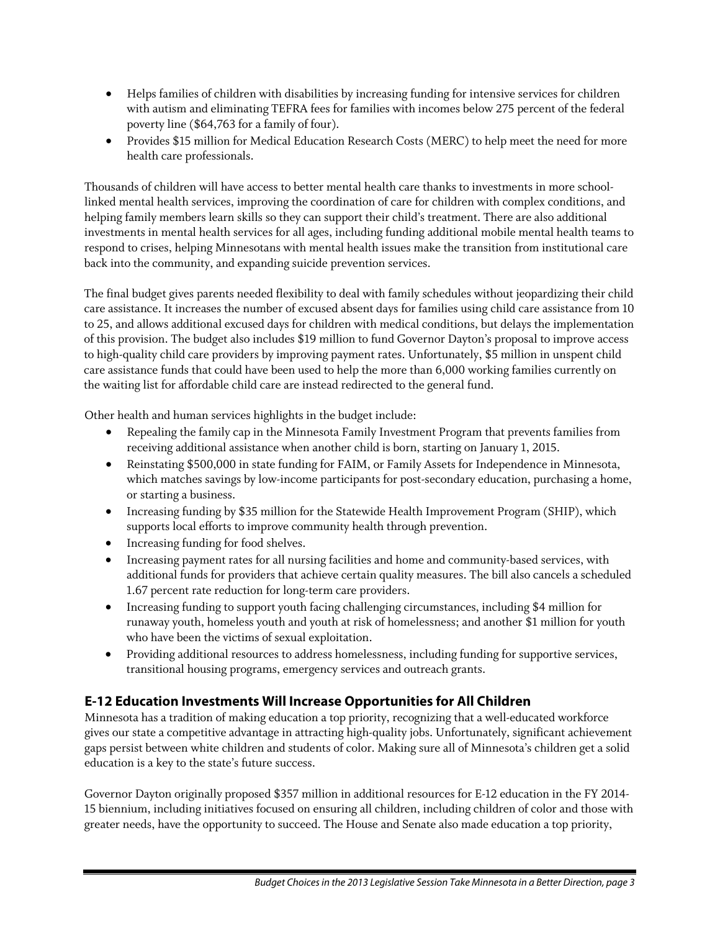- Helps families of children with disabilities by increasing funding for intensive services for children with autism and eliminating TEFRA fees for families with incomes below 275 percent of the federal poverty line (\$64,763 for a family of four).
- Provides \$15 million for Medical Education Research Costs (MERC) to help meet the need for more health care professionals.

Thousands of children will have access to better mental health care thanks to investments in more schoollinked mental health services, improving the coordination of care for children with complex conditions, and helping family members learn skills so they can support their child's treatment. There are also additional investments in mental health services for all ages, including funding additional mobile mental health teams to respond to crises, helping Minnesotans with mental health issues make the transition from institutional care back into the community, and expanding suicide prevention services.

The final budget gives parents needed flexibility to deal with family schedules without jeopardizing their child care assistance. It increases the number of excused absent days for families using child care assistance from 10 to 25, and allows additional excused days for children with medical conditions, but delays the implementation of this provision. The budget also includes \$19 million to fund Governor Dayton's proposal to improve access to high-quality child care providers by improving payment rates. Unfortunately, \$5 million in unspent child care assistance funds that could have been used to help the more than 6,000 working families currently on the waiting list for affordable child care are instead redirected to the general fund.

Other health and human services highlights in the budget include:

- Repealing the family cap in the Minnesota Family Investment Program that prevents families from receiving additional assistance when another child is born, starting on January 1, 2015.
- Reinstating \$500,000 in state funding for FAIM, or Family Assets for Independence in Minnesota, which matches savings by low-income participants for post-secondary education, purchasing a home, or starting a business.
- Increasing funding by \$35 million for the Statewide Health Improvement Program (SHIP), which supports local efforts to improve community health through prevention.
- Increasing funding for food shelves.
- Increasing payment rates for all nursing facilities and home and community-based services, with additional funds for providers that achieve certain quality measures. The bill also cancels a scheduled 1.67 percent rate reduction for long-term care providers.
- Increasing funding to support youth facing challenging circumstances, including \$4 million for runaway youth, homeless youth and youth at risk of homelessness; and another \$1 million for youth who have been the victims of sexual exploitation.
- Providing additional resources to address homelessness, including funding for supportive services, transitional housing programs, emergency services and outreach grants.

## **E-12 Education Investments Will Increase Opportunities for All Children**

Minnesota has a tradition of making education a top priority, recognizing that a well-educated workforce gives our state a competitive advantage in attracting high-quality jobs. Unfortunately, significant achievement gaps persist between white children and students of color. Making sure all of Minnesota's children get a solid education is a key to the state's future success.

Governor Dayton originally proposed \$357 million in additional resources for E-12 education in the FY 2014- 15 biennium, including initiatives focused on ensuring all children, including children of color and those with greater needs, have the opportunity to succeed. The House and Senate also made education a top priority,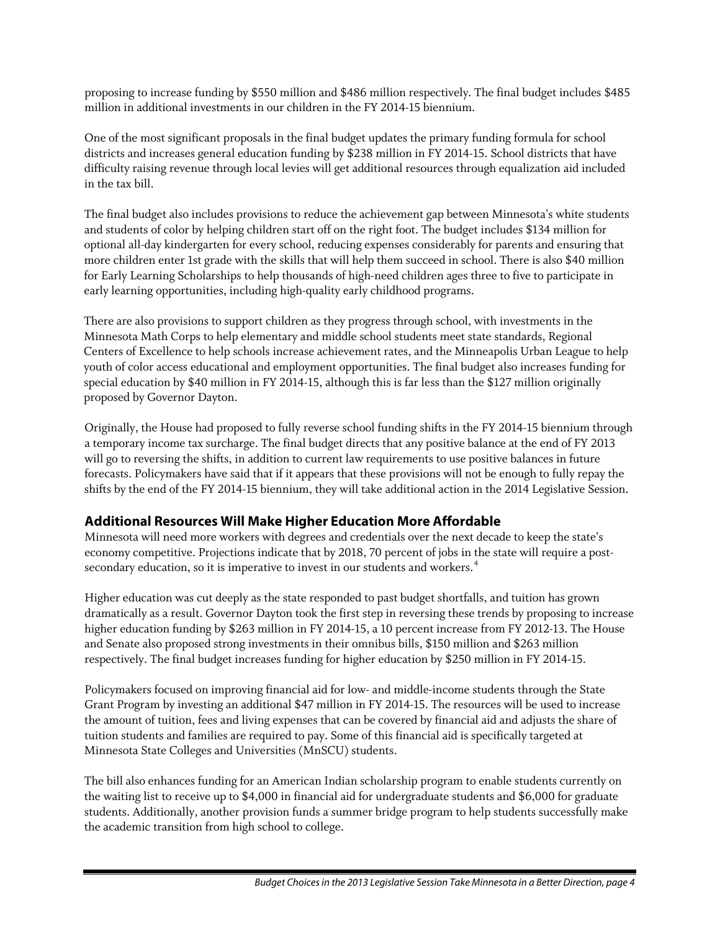proposing to increase funding by \$550 million and \$486 million respectively. The final budget includes \$485 million in additional investments in our children in the FY 2014-15 biennium.

One of the most significant proposals in the final budget updates the primary funding formula for school districts and increases general education funding by \$238 million in FY 2014-15. School districts that have difficulty raising revenue through local levies will get additional resources through equalization aid included in the tax bill.

The final budget also includes provisions to reduce the achievement gap between Minnesota's white students and students of color by helping children start off on the right foot. The budget includes \$134 million for optional all-day kindergarten for every school, reducing expenses considerably for parents and ensuring that more children enter 1st grade with the skills that will help them succeed in school. There is also \$40 million for Early Learning Scholarships to help thousands of high-need children ages three to five to participate in early learning opportunities, including high-quality early childhood programs.

There are also provisions to support children as they progress through school, with investments in the Minnesota Math Corps to help elementary and middle school students meet state standards, Regional Centers of Excellence to help schools increase achievement rates, and the Minneapolis Urban League to help youth of color access educational and employment opportunities. The final budget also increases funding for special education by \$40 million in FY 2014-15, although this is far less than the \$127 million originally proposed by Governor Dayton.

Originally, the House had proposed to fully reverse school funding shifts in the FY 2014-15 biennium through a temporary income tax surcharge. The final budget directs that any positive balance at the end of FY 2013 will go to reversing the shifts, in addition to current law requirements to use positive balances in future forecasts. Policymakers have said that if it appears that these provisions will not be enough to fully repay the shifts by the end of the FY 2014-15 biennium, they will take additional action in the 2014 Legislative Session.

### **Additional Resources Will Make Higher Education More Affordable**

Minnesota will need more workers with degrees and credentials over the next decade to keep the state's economy competitive. Projections indicate that by 2018, 70 percent of jobs in the state will require a post-secondary education, so it is imperative to invest in our students and workers.<sup>[4](#page-8-3)</sup>

Higher education was cut deeply as the state responded to past budget shortfalls, and tuition has grown dramatically as a result. Governor Dayton took the first step in reversing these trends by proposing to increase higher education funding by \$263 million in FY 2014-15, a 10 percent increase from FY 2012-13. The House and Senate also proposed strong investments in their omnibus bills, \$150 million and \$263 million respectively. The final budget increases funding for higher education by \$250 million in FY 2014-15.

Policymakers focused on improving financial aid for low- and middle-income students through the State Grant Program by investing an additional \$47 million in FY 2014-15. The resources will be used to increase the amount of tuition, fees and living expenses that can be covered by financial aid and adjusts the share of tuition students and families are required to pay. Some of this financial aid is specifically targeted at Minnesota State Colleges and Universities (MnSCU) students.

The bill also enhances funding for an American Indian scholarship program to enable students currently on the waiting list to receive up to \$4,000 in financial aid for undergraduate students and \$6,000 for graduate students. Additionally, another provision funds a summer bridge program to help students successfully make the academic transition from high school to college.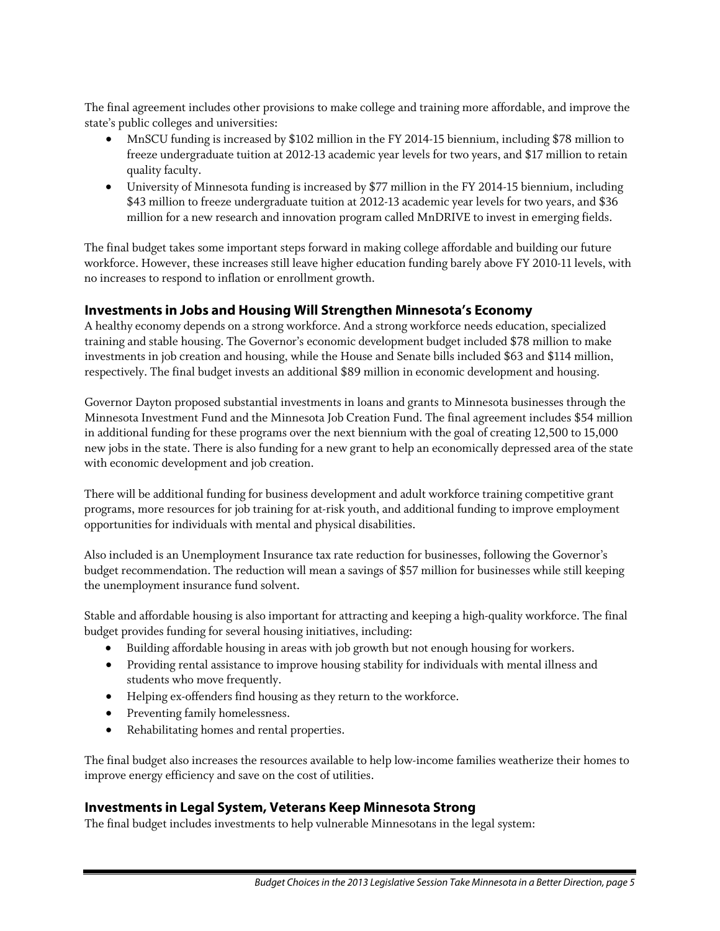The final agreement includes other provisions to make college and training more affordable, and improve the state's public colleges and universities:

- MnSCU funding is increased by \$102 million in the FY 2014-15 biennium, including \$78 million to freeze undergraduate tuition at 2012-13 academic year levels for two years, and \$17 million to retain quality faculty.
- University of Minnesota funding is increased by \$77 million in the FY 2014-15 biennium, including \$43 million to freeze undergraduate tuition at 2012-13 academic year levels for two years, and \$36 million for a new research and innovation program called MnDRIVE to invest in emerging fields.

The final budget takes some important steps forward in making college affordable and building our future workforce. However, these increases still leave higher education funding barely above FY 2010-11 levels, with no increases to respond to inflation or enrollment growth.

#### **Investments in Jobs and Housing Will Strengthen Minnesota's Economy**

A healthy economy depends on a strong workforce. And a strong workforce needs education, specialized training and stable housing. The Governor's economic development budget included \$78 million to make investments in job creation and housing, while the House and Senate bills included \$63 and \$114 million, respectively. The final budget invests an additional \$89 million in economic development and housing.

Governor Dayton proposed substantial investments in loans and grants to Minnesota businesses through the Minnesota Investment Fund and the Minnesota Job Creation Fund. The final agreement includes \$54 million in additional funding for these programs over the next biennium with the goal of creating 12,500 to 15,000 new jobs in the state. There is also funding for a new grant to help an economically depressed area of the state with economic development and job creation.

There will be additional funding for business development and adult workforce training competitive grant programs, more resources for job training for at-risk youth, and additional funding to improve employment opportunities for individuals with mental and physical disabilities.

Also included is an Unemployment Insurance tax rate reduction for businesses, following the Governor's budget recommendation. The reduction will mean a savings of \$57 million for businesses while still keeping the unemployment insurance fund solvent.

Stable and affordable housing is also important for attracting and keeping a high-quality workforce. The final budget provides funding for several housing initiatives, including:

- Building affordable housing in areas with job growth but not enough housing for workers.
- Providing rental assistance to improve housing stability for individuals with mental illness and students who move frequently.
- Helping ex-offenders find housing as they return to the workforce.
- Preventing family homelessness.
- Rehabilitating homes and rental properties.

The final budget also increases the resources available to help low-income families weatherize their homes to improve energy efficiency and save on the cost of utilities.

### **Investments in Legal System, Veterans Keep Minnesota Strong**

The final budget includes investments to help vulnerable Minnesotans in the legal system: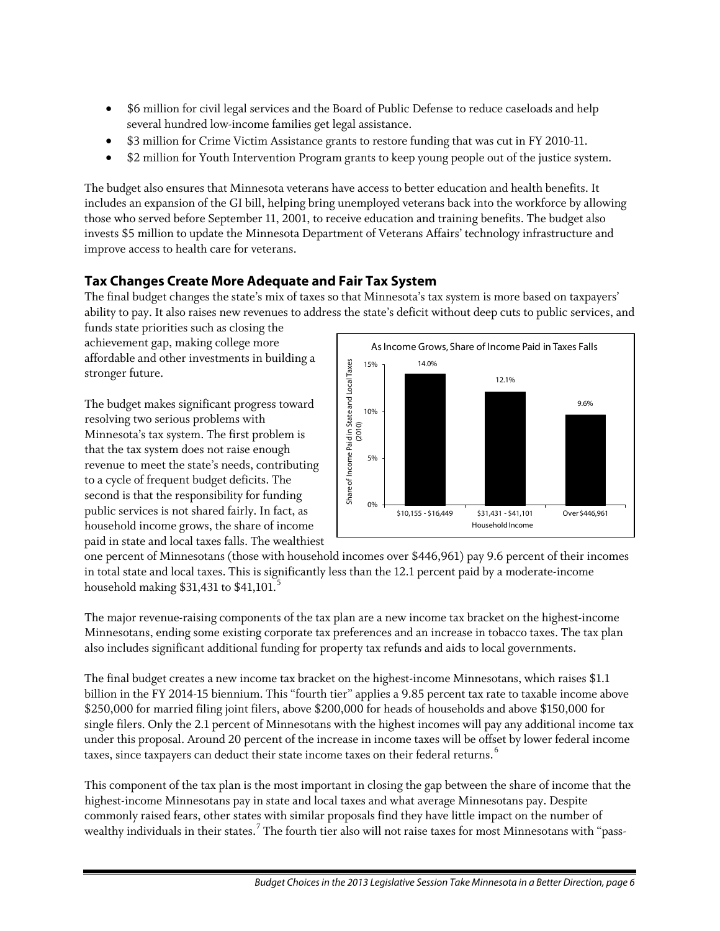- \$6 million for civil legal services and the Board of Public Defense to reduce caseloads and help several hundred low-income families get legal assistance.
- \$3 million for Crime Victim Assistance grants to restore funding that was cut in FY 2010-11.
- \$2 million for Youth Intervention Program grants to keep young people out of the justice system.

The budget also ensures that Minnesota veterans have access to better education and health benefits. It includes an expansion of the GI bill, helping bring unemployed veterans back into the workforce by allowing those who served before September 11, 2001, to receive education and training benefits. The budget also invests \$5 million to update the Minnesota Department of Veterans Affairs' technology infrastructure and improve access to health care for veterans.

## **Tax Changes Create More Adequate and Fair Tax System**

The final budget changes the state's mix of taxes so that Minnesota's tax system is more based on taxpayers' ability to pay. It also raises new revenues to address the state's deficit without deep cuts to public services, and

funds state priorities such as closing the achievement gap, making college more affordable and other investments in building a stronger future.

The budget makes significant progress toward resolving two serious problems with Minnesota's tax system. The first problem is that the tax system does not raise enough revenue to meet the state's needs, contributing to a cycle of frequent budget deficits. The second is that the responsibility for funding public services is not shared fairly. In fact, as household income grows, the share of income paid in state and local taxes falls. The wealthiest



one percent of Minnesotans (those with household incomes over \$446,961) pay 9.6 percent of their incomes in total state and local taxes. This is significantly less than the 12.1 percent paid by a moderate-income household making  $$31,431$  to  $$41,101$ .<sup>[5](#page-8-4)</sup>

The major revenue-raising components of the tax plan are a new income tax bracket on the highest-income Minnesotans, ending some existing corporate tax preferences and an increase in tobacco taxes. The tax plan also includes significant additional funding for property tax refunds and aids to local governments.

The final budget creates a new income tax bracket on the highest-income Minnesotans, which raises \$1.1 billion in the FY 2014-15 biennium. This "fourth tier" applies a 9.85 percent tax rate to taxable income above \$250,000 for married filing joint filers, above \$200,000 for heads of households and above \$150,000 for single filers. Only the 2.1 percent of Minnesotans with the highest incomes will pay any additional income tax under this proposal. Around 20 percent of the increase in income taxes will be offset by lower federal income taxes, since taxpayers can deduct their state income taxes on their federal returns.<sup>[6](#page-8-5)</sup>

This component of the tax plan is the most important in closing the gap between the share of income that the highest-income Minnesotans pay in state and local taxes and what average Minnesotans pay. Despite commonly raised fears, other states with similar proposals find they have little impact on the number of wealthy individuals in their states. <sup>[7](#page-8-6)</sup> The fourth tier also will not raise taxes for most Minnesotans with "pass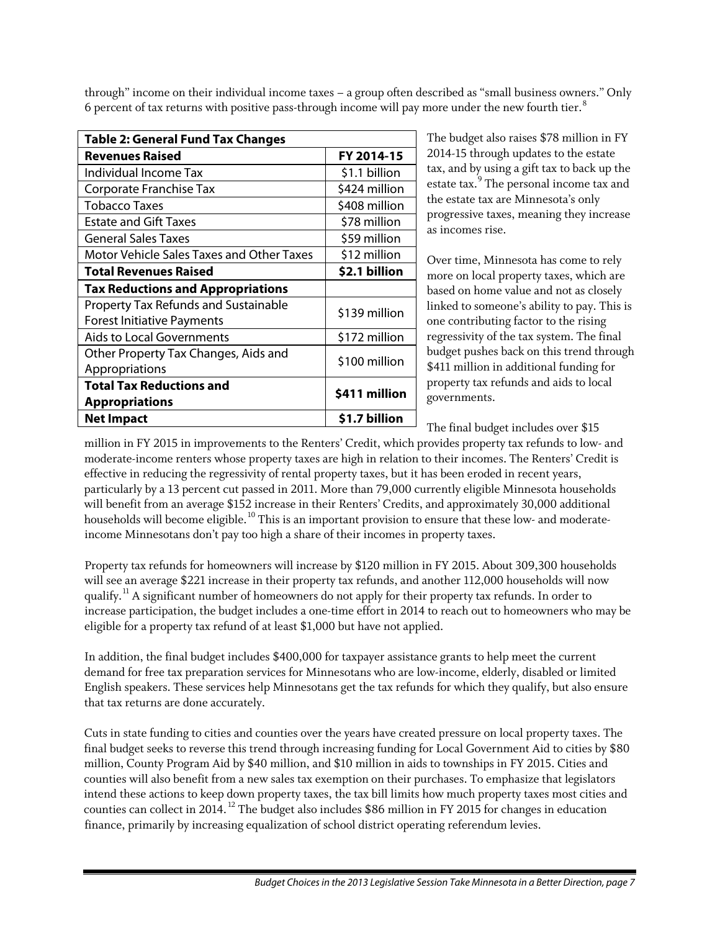through" income on their individual income taxes – a group often described as "small business owners." Only 6 percent of tax returns with positive pass-through income will pay more under the new fourth tier.<sup>[8](#page-8-7)</sup>

| <b>Table 2: General Fund Tax Changes</b>                                         |               |  |  |  |
|----------------------------------------------------------------------------------|---------------|--|--|--|
| <b>Revenues Raised</b>                                                           | FY 2014-15    |  |  |  |
| Individual Income Tax                                                            | \$1.1 billion |  |  |  |
| Corporate Franchise Tax                                                          | \$424 million |  |  |  |
| Tobacco Taxes                                                                    | \$408 million |  |  |  |
| <b>Estate and Gift Taxes</b>                                                     | \$78 million  |  |  |  |
| <b>General Sales Taxes</b>                                                       | \$59 million  |  |  |  |
| Motor Vehicle Sales Taxes and Other Taxes                                        | \$12 million  |  |  |  |
| <b>Total Revenues Raised</b>                                                     | \$2.1 billion |  |  |  |
| <b>Tax Reductions and Appropriations</b>                                         |               |  |  |  |
| <b>Property Tax Refunds and Sustainable</b><br><b>Forest Initiative Payments</b> | \$139 million |  |  |  |
| <b>Aids to Local Governments</b>                                                 | \$172 million |  |  |  |
| Other Property Tax Changes, Aids and<br>Appropriations                           | \$100 million |  |  |  |
| <b>Total Tax Reductions and</b><br><b>Appropriations</b>                         | \$411 million |  |  |  |
| Net Impact                                                                       | \$1.7 billion |  |  |  |

The budget also raises \$78 million in FY 2014-15 through updates to the estate tax, and by using a gift tax to back up the estate tax.<sup>[9](#page-8-8)</sup> The personal income tax and the estate tax are Minnesota's only progressive taxes, meaning they increase as incomes rise.

Over time, Minnesota has come to rely more on local property taxes, which are based on home value and not as closely linked to someone's ability to pay. This is one contributing factor to the rising regressivity of the tax system. The final budget pushes back on this trend through \$411 million in additional funding for property tax refunds and aids to local governments.

The final budget includes over \$15

million in FY 2015 in improvements to the Renters' Credit, which provides property tax refunds to low- and moderate-income renters whose property taxes are high in relation to their incomes. The Renters' Credit is effective in reducing the regressivity of rental property taxes, but it has been eroded in recent years, particularly by a 13 percent cut passed in 2011. More than 79,000 currently eligible Minnesota households will benefit from an average \$152 increase in their Renters' Credits, and approximately 30,000 additional households will become eligible.<sup>[10](#page-8-9)</sup> This is an important provision to ensure that these low- and moderateincome Minnesotans don't pay too high a share of their incomes in property taxes.

Property tax refunds for homeowners will increase by \$120 million in FY 2015. About 309,300 households will see an average \$221 increase in their property tax refunds, and another 112,000 households will now qualify.<sup>[11](#page-8-10)</sup> A significant number of homeowners do not apply for their property tax refunds. In order to increase participation, the budget includes a one-time effort in 2014 to reach out to homeowners who may be eligible for a property tax refund of at least \$1,000 but have not applied.

In addition, the final budget includes \$400,000 for taxpayer assistance grants to help meet the current demand for free tax preparation services for Minnesotans who are low-income, elderly, disabled or limited English speakers. These services help Minnesotans get the tax refunds for which they qualify, but also ensure that tax returns are done accurately.

Cuts in state funding to cities and counties over the years have created pressure on local property taxes. The final budget seeks to reverse this trend through increasing funding for Local Government Aid to cities by \$80 million, County Program Aid by \$40 million, and \$10 million in aids to townships in FY 2015. Cities and counties will also benefit from a new sales tax exemption on their purchases. To emphasize that legislators intend these actions to keep down property taxes, the tax bill limits how much property taxes most cities and counties can collect in 2014.  $^{12}$  $^{12}$  $^{12}$  The budget also includes \$86 million in FY 2015 for changes in education finance, primarily by increasing equalization of school district operating referendum levies.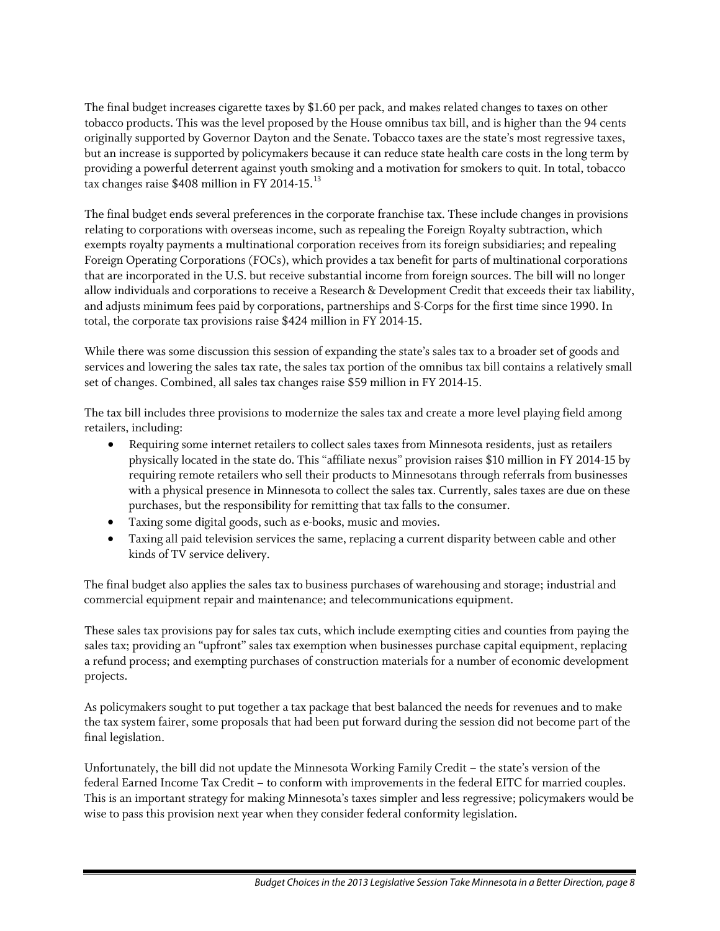The final budget increases cigarette taxes by \$1.60 per pack, and makes related changes to taxes on other tobacco products. This was the level proposed by the House omnibus tax bill, and is higher than the 94 cents originally supported by Governor Dayton and the Senate. Tobacco taxes are the state's most regressive taxes, but an increase is supported by policymakers because it can reduce state health care costs in the long term by providing a powerful deterrent against youth smoking and a motivation for smokers to quit. In total, tobacco tax changes raise  $$408$  million in FY 2014-15.<sup>[13](#page-8-12)</sup>

The final budget ends several preferences in the corporate franchise tax. These include changes in provisions relating to corporations with overseas income, such as repealing the Foreign Royalty subtraction, which exempts royalty payments a multinational corporation receives from its foreign subsidiaries; and repealing Foreign Operating Corporations (FOCs), which provides a tax benefit for parts of multinational corporations that are incorporated in the U.S. but receive substantial income from foreign sources. The bill will no longer allow individuals and corporations to receive a Research & Development Credit that exceeds their tax liability, and adjusts minimum fees paid by corporations, partnerships and S-Corps for the first time since 1990. In total, the corporate tax provisions raise \$424 million in FY 2014-15.

While there was some discussion this session of expanding the state's sales tax to a broader set of goods and services and lowering the sales tax rate, the sales tax portion of the omnibus tax bill contains a relatively small set of changes. Combined, all sales tax changes raise \$59 million in FY 2014-15.

The tax bill includes three provisions to modernize the sales tax and create a more level playing field among retailers, including:

- Requiring some internet retailers to collect sales taxes from Minnesota residents, just as retailers physically located in the state do. This "affiliate nexus" provision raises \$10 million in FY 2014-15 by requiring remote retailers who sell their products to Minnesotans through referrals from businesses with a physical presence in Minnesota to collect the sales tax. Currently, sales taxes are due on these purchases, but the responsibility for remitting that tax falls to the consumer.
- Taxing some digital goods, such as e-books, music and movies.
- Taxing all paid television services the same, replacing a current disparity between cable and other kinds of TV service delivery.

The final budget also applies the sales tax to business purchases of warehousing and storage; industrial and commercial equipment repair and maintenance; and telecommunications equipment.

These sales tax provisions pay for sales tax cuts, which include exempting cities and counties from paying the sales tax; providing an "upfront" sales tax exemption when businesses purchase capital equipment, replacing a refund process; and exempting purchases of construction materials for a number of economic development projects.

As policymakers sought to put together a tax package that best balanced the needs for revenues and to make the tax system fairer, some proposals that had been put forward during the session did not become part of the final legislation.

Unfortunately, the bill did not update the Minnesota Working Family Credit – the state's version of the federal Earned Income Tax Credit – to conform with improvements in the federal EITC for married couples. This is an important strategy for making Minnesota's taxes simpler and less regressive; policymakers would be wise to pass this provision next year when they consider federal conformity legislation.